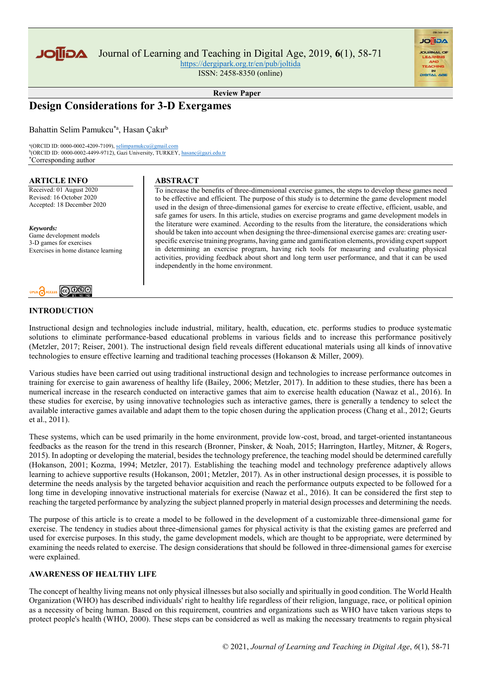

<https://dergipark.org.tr/en/pub/joltida> ISSN: 2458-8350 (online)

**AGIIOL** 

**Review Paper**

# **Design Considerations for 3-D Exergames**

Bahattin Selim Pamukcu\*a, Hasan Çakır<sup>b</sup>

<sup>a</sup>(ORCID ID: 0000-0002-4209-7109), <u>selimpamukcu@gmail.com</u><br><sup>b</sup>(ORCID ID: 0000-0002-4499-9712), Gazi University, TURKEY, <u>hasanc@gazi.edu.tr</u> \*Corresponding author

#### **ARTICLE INFO**

Received: 01 August 2020 Revised: 16 October 2020 Accepted: 18 December 2020

*Keywords:* Game development models 3-D games for exercises Exercises in home distance learning



# **INTRODUCTION**

**ABSTRACT** 

To increase the benefıts of three-dimensional exercise games, the steps to develop these games need to be effective and efficient. The purpose of this study is to determine the game development model used in the design of three-dimensional games for exercise to create effective, efficient, usable, and safe games for users. In this article, studies on exercise programs and game development models in the literature were examined. According to the results from the literature, the considerations which should be taken into account when designing the three-dimensional exercise games are: creating userspecific exercise training programs, having game and gamification elements, providing expert support in determining an exercise program, having rich tools for measuring and evaluating physical activities, providing feedback about short and long term user performance, and that it can be used independently in the home environment.

Instructional design and technologies include industrial, military, health, education, etc. performs studies to produce systematic solutions to eliminate performance-based educational problems in various fields and to increase this performance positively (Metzler, 2017; Reiser, 2001). The instructional design field reveals different educational materials using all kinds of innovative technologies to ensure effective learning and traditional teaching processes (Hokanson & Miller, 2009).

Various studies have been carried out using traditional instructional design and technologies to increase performance outcomes in training for exercise to gain awareness of healthy life (Bailey, 2006; Metzler, 2017). In addition to these studies, there has been a numerical increase in the research conducted on interactive games that aim to exercise health education (Nawaz et al., 2016). In these studies for exercise, by using innovative technologies such as interactive games, there is generally a tendency to select the available interactive games available and adapt them to the topic chosen during the application process (Chang et al., 2012; Geurts et al., 2011).

These systems, which can be used primarily in the home environment, provide low-cost, broad, and target-oriented instantaneous feedbacks as the reason for the trend in this research (Bronner, Pinsker, & Noah, 2015; Harrington, Hartley, Mitzner, & Rogers, 2015). In adopting or developing the material, besides the technology preference, the teaching model should be determined carefully (Hokanson, 2001; Kozma, 1994; Metzler, 2017). Establishing the teaching model and technology preference adaptively allows learning to achieve supportive results (Hokanson, 2001; Metzler, 2017). As in other instructional design processes, it is possible to determine the needs analysis by the targeted behavior acquisition and reach the performance outputs expected to be followed for a long time in developing innovative instructional materials for exercise (Nawaz et al., 2016). It can be considered the first step to reaching the targeted performance by analyzing the subject planned properly in material design processes and determining the needs.

The purpose of this article is to create a model to be followed in the development of a customizable three-dimensional game for exercise. The tendency in studies about three-dimensional games for physical activity is that the existing games are preferred and used for exercise purposes. In this study, the game development models, which are thought to be appropriate, were determined by examining the needs related to exercise. The design considerations that should be followed in three-dimensional games for exercise were explained.

### **AWARENESS OF HEALTHY LIFE**

The concept of healthy living means not only physical illnesses but also socially and spiritually in good condition. The World Health Organization (WHO) has described individuals' right to healthy life regardless of their religion, language, race, or political opinion as a necessity of being human. Based on this requirement, countries and organizations such as WHO have taken various steps to protect people's health (WHO, 2000). These steps can be considered as well as making the necessary treatments to regain physical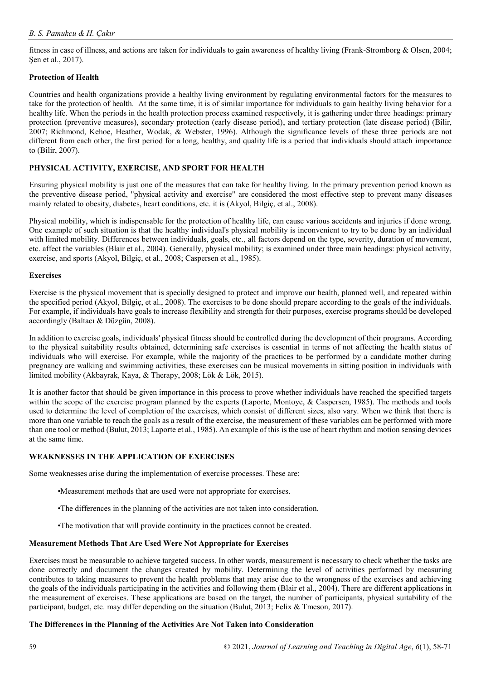fitness in case of illness, and actions are taken for individuals to gain awareness of healthy living (Frank-Stromborg & Olsen, 2004; Sen et al., 2017).

# **Protection of Health**

Countries and health organizations provide a healthy living environment by regulating environmental factors for the measures to take for the protection of health. At the same time, it is of similar importance for individuals to gain healthy living behavior for a healthy life. When the periods in the health protection process examined respectively, it is gathering under three headings: primary protection (preventive measures), secondary protection (early disease period), and tertiary protection (late disease period) (Bilir, 2007; Richmond, Kehoe, Heather, Wodak, & Webster, 1996). Although the significance levels of these three periods are not different from each other, the first period for a long, healthy, and quality life is a period that individuals should attach importance to (Bilir, 2007).

# **PHYSICAL ACTIVITY, EXERCISE, AND SPORT FOR HEALTH**

Ensuring physical mobility is just one of the measures that can take for healthy living. In the primary prevention period known as the preventive disease period, "physical activity and exercise" are considered the most effective step to prevent many diseases mainly related to obesity, diabetes, heart conditions, etc. it is (Akyol, Bilgiç, et al., 2008).

Physical mobility, which is indispensable for the protection of healthy life, can cause various accidents and injuries if done wrong. One example of such situation is that the healthy individual's physical mobility is inconvenient to try to be done by an individual with limited mobility. Differences between individuals, goals, etc., all factors depend on the type, severity, duration of movement, etc. affect the variables (Blair et al., 2004). Generally, physical mobility; is examined under three main headings: physical activity, exercise, and sports (Akyol, Bilgiç, et al., 2008; Caspersen et al., 1985).

### **Exercises**

Exercise is the physical movement that is specially designed to protect and improve our health, planned well, and repeated within the specified period (Akyol, Bilgiç, et al., 2008). The exercises to be done should prepare according to the goals of the individuals. For example, if individuals have goals to increase flexibility and strength for their purposes, exercise programs should be developed accordingly (Baltacı & Düzgün, 2008).

In addition to exercise goals, individuals' physical fitness should be controlled during the development of their programs. According to the physical suitability results obtained, determining safe exercises is essential in terms of not affecting the health status of individuals who will exercise. For example, while the majority of the practices to be performed by a candidate mother during pregnancy are walking and swimming activities, these exercises can be musical movements in sitting position in individuals with limited mobility (Akbayrak, Kaya, & Therapy, 2008; Lök & Lök, 2015).

It is another factor that should be given importance in this process to prove whether individuals have reached the specified targets within the scope of the exercise program planned by the experts (Laporte, Montoye, & Caspersen, 1985). The methods and tools used to determine the level of completion of the exercises, which consist of different sizes, also vary. When we think that there is more than one variable to reach the goals as a result of the exercise, the measurement of these variables can be performed with more than one tool or method (Bulut, 2013; Laporte et al., 1985). An example of this is the use of heart rhythm and motion sensing devices at the same time.

### **WEAKNESSES IN THE APPLICATION OF EXERCISES**

Some weaknesses arise during the implementation of exercise processes. These are:

- •Measurement methods that are used were not appropriate for exercises.
- •The differences in the planning of the activities are not taken into consideration.
- •The motivation that will provide continuity in the practices cannot be created.

### **Measurement Methods That Are Used Were Not Appropriate for Exercises**

Exercises must be measurable to achieve targeted success. In other words, measurement is necessary to check whether the tasks are done correctly and document the changes created by mobility. Determining the level of activities performed by measuring contributes to taking measures to prevent the health problems that may arise due to the wrongness of the exercises and achieving the goals of the individuals participating in the activities and following them (Blair et al., 2004). There are different applications in the measurement of exercises. These applications are based on the target, the number of participants, physical suitability of the participant, budget, etc. may differ depending on the situation (Bulut, 2013; Felix & Tmeson, 2017).

### **The Differences in the Planning of the Activities Are Not Taken into Consideration**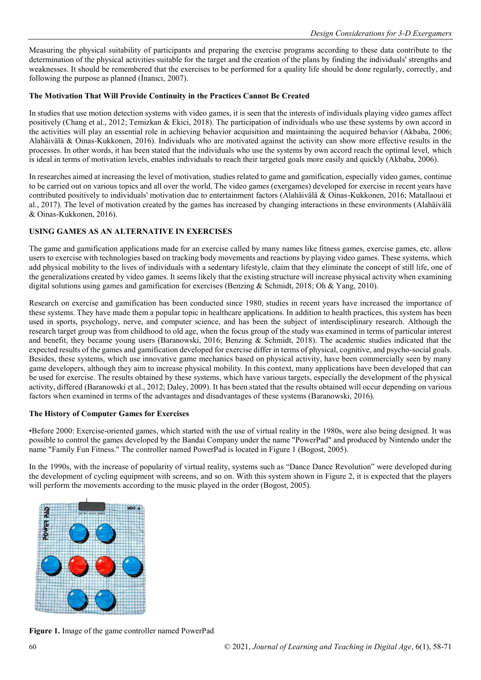Measuring the physical suitability of participants and preparing the exercise programs according to these data contribute to the determination of the physical activities suitable for the target and the creation of the plans by finding the individuals' strengths and weaknesses. It should be remembered that the exercises to be performed for a quality life should be done regularly, correctly, and following the purpose as planned (İnanıcı, 2007).

# **The Motivation That Will Provide Continuity in the Practices Cannot Be Created**

In studies that use motion detection systems with video games, it is seen that the interests of individuals playing video games affect positively (Chang et al., 2012; Temizkan & Ekici, 2018). The participation of individuals who use these systems by own accord in the activities will play an essential role in achieving behavior acquisition and maintaining the acquired behavior (Akbaba, 2006; Alahäivälä & Oinas-Kukkonen, 2016). Individuals who are motivated against the activity can show more effective results in the processes. In other words, it has been stated that the individuals who use the systems by own accord reach the optimal level, which is ideal in terms of motivation levels, enables individuals to reach their targeted goals more easily and quickly (Akbaba, 2006).

In researches aimed at increasing the level of motivation, studies related to game and gamification, especially video games, continue to be carried out on various topics and all over the world. The video games (exergames) developed for exercise in recent years have contributed positively to individuals' motivation due to entertainment factors (Alahäivälä & Oinas-Kukkonen, 2016; Matallaoui et al., 2017). The level of motivation created by the games has increased by changing interactions in these environments (Alahäivälä & Oinas-Kukkonen, 2016).

## **USING GAMES AS AN ALTERNATIVE IN EXERCISES**

The game and gamification applications made for an exercise called by many names like fitness games, exercise games, etc. allow users to exercise with technologies based on tracking body movements and reactions by playing video games. These systems, which add physical mobility to the lives of individuals with a sedentary lifestyle, claim that they eliminate the concept of still life, one of the generalizations created by video games. It seems likely that the existing structure will increase physical activity when examining digital solutions using games and gamification for exercises (Benzing & Schmidt, 2018; Oh & Yang, 2010).

Research on exercise and gamification has been conducted since 1980, studies in recent years have increased the importance of these systems. They have made them a popular topic in healthcare applications. In addition to health practices, this system has been used in sports, psychology, nerve, and computer science, and has been the subject of interdisciplinary research. Although the research target group was from childhood to old age, when the focus group of the study was examined in terms of particular interest and benefit, they became young users (Baranowski, 2016; Benzing & Schmidt, 2018). The academic studies indicated that the expected results of the games and gamification developed for exercise differ in terms of physical, cognitive, and psycho-social goals. Besides, these systems, which use innovative game mechanics based on physical activity, have been commercially seen by many game developers, although they aim to increase physical mobility. In this context, many applications have been developed that can be used for exercise. The results obtained by these systems, which have various targets, especially the development of the physical activity, differed (Baranowski et al., 2012; Daley, 2009). It has been stated that the results obtained will occur depending on various factors when examined in terms of the advantages and disadvantages of these systems (Baranowski, 2016).

### **The History of Computer Games for Exercises**

•Before 2000: Exercise-oriented games, which started with the use of virtual reality in the 1980s, were also being designed. It was possible to control the games developed by the Bandai Company under the name "PowerPad" and produced by Nintendo under the name "Family Fun Fitness." The controller named PowerPad is located in Figure 1 (Bogost, 2005).

In the 1990s, with the increase of popularity of virtual reality, systems such as "Dance Dance Revolution" were developed during the development of cycling equipment with screens, and so on. With this system shown in Figure 2, it is expected that the players will perform the movements according to the music played in the order (Bogost, 2005).



**Figure 1.** Image of the game controller named PowerPad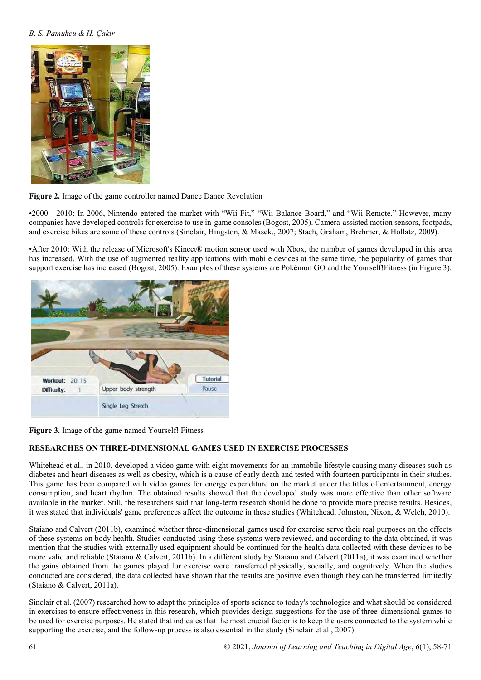# *B. S. Pamukcu & H. Çakır*



**Figure 2.** Image of the game controller named Dance Dance Revolution

•2000 - 2010: In 2006, Nintendo entered the market with "Wii Fit," "Wii Balance Board," and "Wii Remote." However, many companies have developed controls for exercise to use in-game consoles (Bogost, 2005). Camera-assisted motion sensors, footpads, and exercise bikes are some of these controls (Sinclair, Hingston, & Masek., 2007; Stach, Graham, Brehmer, & Hollatz, 2009).

•After 2010: With the release of Microsoft's Kinect® motion sensor used with Xbox, the number of games developed in this area has increased. With the use of augmented reality applications with mobile devices at the same time, the popularity of games that support exercise has increased (Bogost, 2005). Examples of these systems are Pokémon GO and the Yourself!Fitness (in Figure 3).





# **RESEARCHES ON THREE-DIMENSIONAL GAMES USED IN EXERCISE PROCESSES**

Whitehead et al., in 2010, developed a video game with eight movements for an immobile lifestyle causing many diseases such as diabetes and heart diseases as well as obesity, which is a cause of early death and tested with fourteen participants in their studies. This game has been compared with video games for energy expenditure on the market under the titles of entertainment, energy consumption, and heart rhythm. The obtained results showed that the developed study was more effective than other software available in the market. Still, the researchers said that long-term research should be done to provide more precise results. Besides, it was stated that individuals' game preferences affect the outcome in these studies (Whitehead, Johnston, Nixon, & Welch, 2010).

Staiano and Calvert (2011b), examined whether three-dimensional games used for exercise serve their real purposes on the effects of these systems on body health. Studies conducted using these systems were reviewed, and according to the data obtained, it was mention that the studies with externally used equipment should be continued for the health data collected with these devices to be more valid and reliable (Staiano & Calvert, 2011b). In a different study by Staiano and Calvert (2011a), it was examined whether the gains obtained from the games played for exercise were transferred physically, socially, and cognitively. When the studies conducted are considered, the data collected have shown that the results are positive even though they can be transferred limitedly (Staiano & Calvert, 2011a).

Sinclair et al. (2007) researched how to adapt the principles of sports science to today's technologies and what should be considered in exercises to ensure effectiveness in this research, which provides design suggestions for the use of three-dimensional games to be used for exercise purposes. He stated that indicates that the most crucial factor is to keep the users connected to the system while supporting the exercise, and the follow-up process is also essential in the study (Sinclair et al., 2007).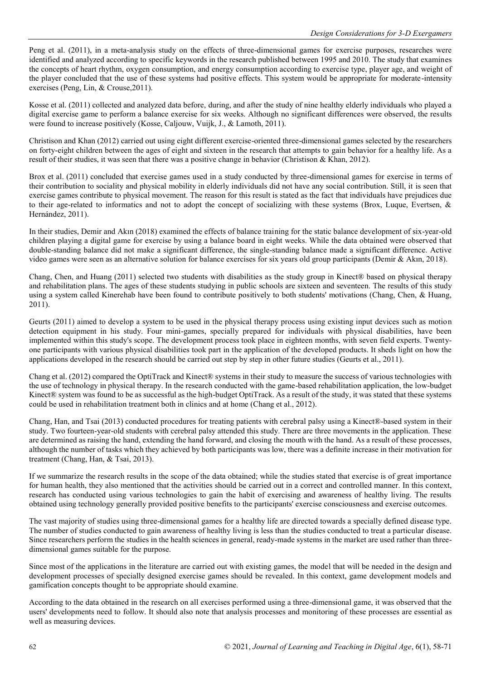Peng et al. (2011), in a meta-analysis study on the effects of three-dimensional games for exercise purposes, researches were identified and analyzed according to specific keywords in the research published between 1995 and 2010. The study that examines the concepts of heart rhythm, oxygen consumption, and energy consumption according to exercise type, player age, and weight of the player concluded that the use of these systems had positive effects. This system would be appropriate for moderate-intensity exercises (Peng, Lin, & Crouse,2011).

Kosse et al. (2011) collected and analyzed data before, during, and after the study of nine healthy elderly individuals who played a digital exercise game to perform a balance exercise for six weeks. Although no significant differences were observed, the results were found to increase positively (Kosse, Caljouw, Vuijk, J., & Lamoth, 2011).

Christison and Khan (2012) carried out using eight different exercise-oriented three-dimensional games selected by the researchers on forty-eight children between the ages of eight and sixteen in the research that attempts to gain behavior for a healthy life. As a result of their studies, it was seen that there was a positive change in behavior (Christison & Khan, 2012).

Brox et al. (2011) concluded that exercise games used in a study conducted by three-dimensional games for exercise in terms of their contribution to sociality and physical mobility in elderly individuals did not have any social contribution. Still, it is seen that exercise games contribute to physical movement. The reason for this result is stated as the fact that individuals have prejudices due to their age-related to informatics and not to adopt the concept of socializing with these systems (Brox, Luque, Evertsen, & Hernández, 2011).

In their studies, Demir and Akın (2018) examined the effects of balance training for the static balance development of six-year-old children playing a digital game for exercise by using a balance board in eight weeks. While the data obtained were observed that double-standing balance did not make a significant difference, the single-standing balance made a significant difference. Active video games were seen as an alternative solution for balance exercises for six years old group participants (Demir & Akın, 2018).

Chang, Chen, and Huang (2011) selected two students with disabilities as the study group in Kinect® based on physical therapy and rehabilitation plans. The ages of these students studying in public schools are sixteen and seventeen. The results of this study using a system called Kinerehab have been found to contribute positively to both students' motivations (Chang, Chen, & Huang,  $2011$ ).

Geurts (2011) aimed to develop a system to be used in the physical therapy process using existing input devices such as motion detection equipment in his study. Four mini-games, specially prepared for individuals with physical disabilities, have been implemented within this study's scope. The development process took place in eighteen months, with seven field experts. Twentyone participants with various physical disabilities took part in the application of the developed products. It sheds light on how the applications developed in the research should be carried out step by step in other future studies (Geurts et al., 2011).

Chang et al. (2012) compared the OptiTrack and Kinect® systems in their study to measure the success of various technologies with the use of technology in physical therapy. In the research conducted with the game-based rehabilitation application, the low-budget Kinect® system was found to be as successful as the high-budget OptiTrack. As a result of the study, it was stated that these systems could be used in rehabilitation treatment both in clinics and at home (Chang et al., 2012).

Chang, Han, and Tsai (2013) conducted procedures for treating patients with cerebral palsy using a Kinect®-based system in their study. Two fourteen-year-old students with cerebral palsy attended this study. There are three movements in the application. These are determined as raising the hand, extending the hand forward, and closing the mouth with the hand. As a result of these processes, although the number of tasks which they achieved by both participants was low, there was a definite increase in their motivation for treatment (Chang, Han, & Tsai, 2013).

If we summarize the research results in the scope of the data obtained; while the studies stated that exercise is of great importance for human health, they also mentioned that the activities should be carried out in a correct and controlled manner. In this context, research has conducted using various technologies to gain the habit of exercising and awareness of healthy living. The results obtained using technology generally provided positive benefits to the participants' exercise consciousness and exercise outcomes.

The vast majority of studies using three-dimensional games for a healthy life are directed towards a specially defined disease type. The number of studies conducted to gain awareness of healthy living is less than the studies conducted to treat a particular disease. Since researchers perform the studies in the health sciences in general, ready-made systems in the market are used rather than threedimensional games suitable for the purpose.

Since most of the applications in the literature are carried out with existing games, the model that will be needed in the design and development processes of specially designed exercise games should be revealed. In this context, game development models and gamification concepts thought to be appropriate should examine.

According to the data obtained in the research on all exercises performed using a three-dimensional game, it was observed that the users' developments need to follow. It should also note that analysis processes and monitoring of these processes are essential as well as measuring devices.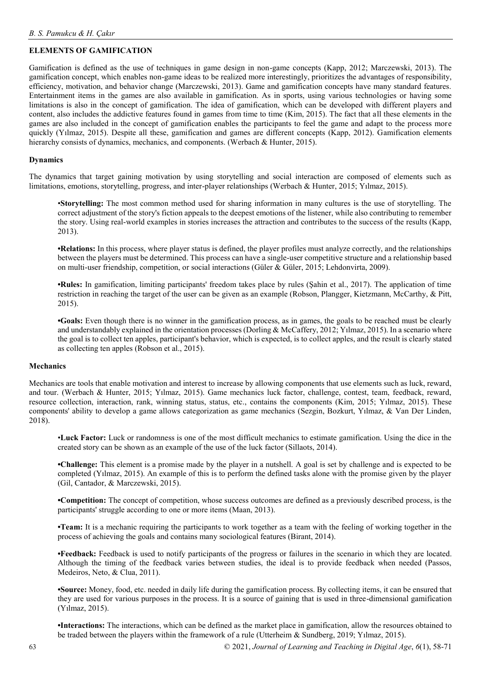# **ELEMENTS OF GAMIFICATION**

Gamification is defined as the use of techniques in game design in non-game concepts (Kapp, 2012; Marczewski, 2013). The gamification concept, which enables non-game ideas to be realized more interestingly, prioritizes the advantages of responsibility, efficiency, motivation, and behavior change (Marczewski, 2013). Game and gamification concepts have many standard features. Entertainment items in the games are also available in gamification. As in sports, using various technologies or having some limitations is also in the concept of gamification. The idea of gamification, which can be developed with different players and content, also includes the addictive features found in games from time to time (Kim, 2015). The fact that all these elements in the games are also included in the concept of gamification enables the participants to feel the game and adapt to the process more quickly (Yılmaz, 2015). Despite all these, gamification and games are different concepts (Kapp, 2012). Gamification elements hierarchy consists of dynamics, mechanics, and components. (Werbach & Hunter, 2015).

### **Dynamics**

The dynamics that target gaining motivation by using storytelling and social interaction are composed of elements such as limitations, emotions, storytelling, progress, and inter-player relationships (Werbach & Hunter, 2015; Yılmaz, 2015).

•**Storytelling:** The most common method used for sharing information in many cultures is the use of storytelling. The correct adjustment of the story's fiction appeals to the deepest emotions of the listener, while also contributing to remember the story. Using real-world examples in stories increases the attraction and contributes to the success of the results (Kapp, 2013).

**•Relations:** In this process, where player status is defined, the player profiles must analyze correctly, and the relationships between the players must be determined. This process can have a single-user competitive structure and a relationship based on multi-user friendship, competition, or social interactions (Güler & Güler, 2015; Lehdonvirta, 2009).

**•Rules:** In gamification, limiting participants' freedom takes place by rules (Şahin et al., 2017). The application of time restriction in reaching the target of the user can be given as an example (Robson, Plangger, Kietzmann, McCarthy, & Pitt, 2015).

**•Goals:** Even though there is no winner in the gamification process, as in games, the goals to be reached must be clearly and understandably explained in the orientation processes (Dorling & McCaffery, 2012; Yılmaz, 2015). In a scenario where the goal is to collect ten apples, participant's behavior, which is expected, is to collect apples, and the result is clearly stated as collecting ten apples (Robson et al., 2015).

### **Mechanics**

Mechanics are tools that enable motivation and interest to increase by allowing components that use elements such as luck, reward, and tour. (Werbach & Hunter, 2015; Yılmaz, 2015). Game mechanics luck factor, challenge, contest, team, feedback, reward, resource collection, interaction, rank, winning status, status, etc., contains the components (Kim, 2015; Yılmaz, 2015). These components' ability to develop a game allows categorization as game mechanics (Sezgin, Bozkurt, Yılmaz, & Van Der Linden, 2018).

•**Luck Factor:** Luck or randomness is one of the most difficult mechanics to estimate gamification. Using the dice in the created story can be shown as an example of the use of the luck factor (Sillaots, 2014).

**•Challenge:** This element is a promise made by the player in a nutshell. A goal is set by challenge and is expected to be completed (Yılmaz, 2015). An example of this is to perform the defined tasks alone with the promise given by the player (Gil, Cantador, & Marczewski, 2015).

**•Competition:** The concept of competition, whose success outcomes are defined as a previously described process, is the participants' struggle according to one or more items (Maan, 2013).

**•Team:** It is a mechanic requiring the participants to work together as a team with the feeling of working together in the process of achieving the goals and contains many sociological features (Birant, 2014).

**•Feedback:** Feedback is used to notify participants of the progress or failures in the scenario in which they are located. Although the timing of the feedback varies between studies, the ideal is to provide feedback when needed (Passos, Medeiros, Neto, & Clua, 2011).

**•Source:** Money, food, etc. needed in daily life during the gamification process. By collecting items, it can be ensured that they are used for various purposes in the process. It is a source of gaining that is used in three-dimensional gamification (Yılmaz, 2015).

**•Interactions:** The interactions, which can be defined as the market place in gamification, allow the resources obtained to be traded between the players within the framework of a rule (Utterheim & Sundberg, 2019; Yılmaz, 2015).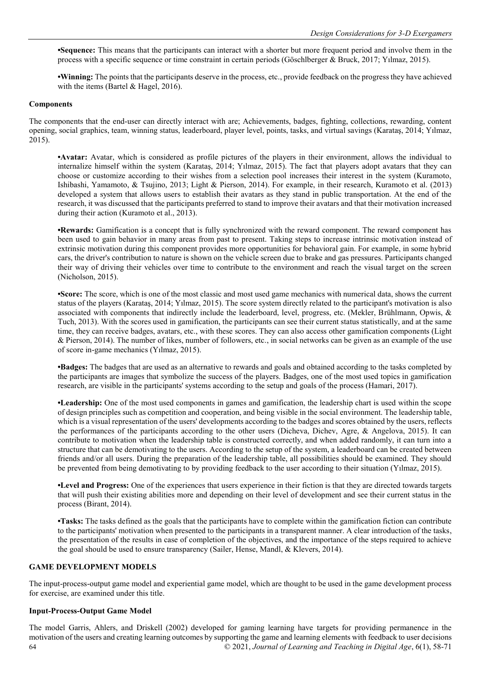**•Sequence:** This means that the participants can interact with a shorter but more frequent period and involve them in the process with a specific sequence or time constraint in certain periods (Göschlberger & Bruck, 2017; Yılmaz, 2015).

**•Winning:** The points that the participants deserve in the process, etc., provide feedback on the progress they have achieved with the items (Bartel & Hagel, 2016).

### **Components**

The components that the end-user can directly interact with are; Achievements, badges, fighting, collections, rewarding, content opening, social graphics, team, winning status, leaderboard, player level, points, tasks, and virtual savings (Karataş, 2014; Yılmaz, 2015).

**•Avatar:** Avatar, which is considered as profile pictures of the players in their environment, allows the individual to internalize himself within the system (Karataş, 2014; Yılmaz, 2015). The fact that players adopt avatars that they can choose or customize according to their wishes from a selection pool increases their interest in the system (Kuramoto, Ishibashi, Yamamoto, & Tsujino, 2013; Light & Pierson, 2014). For example, in their research, Kuramoto et al. (2013) developed a system that allows users to establish their avatars as they stand in public transportation. At the end of the research, it was discussed that the participants preferred to stand to improve their avatars and that their motivation increased during their action (Kuramoto et al., 2013).

**•Rewards:** Gamification is a concept that is fully synchronized with the reward component. The reward component has been used to gain behavior in many areas from past to present. Taking steps to increase intrinsic motivation instead of extrinsic motivation during this component provides more opportunities for behavioral gain. For example, in some hybrid cars, the driver's contribution to nature is shown on the vehicle screen due to brake and gas pressures. Participants changed their way of driving their vehicles over time to contribute to the environment and reach the visual target on the screen (Nicholson, 2015).

**•Score:** The score, which is one of the most classic and most used game mechanics with numerical data, shows the current status of the players (Karataş, 2014; Yılmaz, 2015). The score system directly related to the participant's motivation is also associated with components that indirectly include the leaderboard, level, progress, etc. (Mekler, Brühlmann, Opwis, & Tuch, 2013). With the scores used in gamification, the participants can see their current status statistically, and at the same time, they can receive badges, avatars, etc., with these scores. They can also access other gamification components (Light & Pierson, 2014). The number of likes, number of followers, etc., in social networks can be given as an example of the use of score in-game mechanics (Yılmaz, 2015).

**•Badges:** The badges that are used as an alternative to rewards and goals and obtained according to the tasks completed by the participants are images that symbolize the success of the players. Badges, one of the most used topics in gamification research, are visible in the participants' systems according to the setup and goals of the process (Hamari, 2017).

**•Leadership:** One of the most used components in games and gamification, the leadership chart is used within the scope of design principles such as competition and cooperation, and being visible in the social environment. The leadership table, which is a visual representation of the users' developments according to the badges and scores obtained by the users, reflects the performances of the participants according to the other users (Dicheva, Dichev, Agre, & Angelova, 2015). It can contribute to motivation when the leadership table is constructed correctly, and when added randomly, it can turn into a structure that can be demotivating to the users. According to the setup of the system, a leaderboard can be created between friends and/or all users. During the preparation of the leadership table, all possibilities should be examined. They should be prevented from being demotivating to by providing feedback to the user according to their situation (Yılmaz, 2015).

**•Level and Progress:** One of the experiences that users experience in their fiction is that they are directed towards targets that will push their existing abilities more and depending on their level of development and see their current status in the process (Birant, 2014).

**•Tasks:** The tasks defined as the goals that the participants have to complete within the gamification fiction can contribute to the participants' motivation when presented to the participants in a transparent manner. A clear introduction of the tasks, the presentation of the results in case of completion of the objectives, and the importance of the steps required to achieve the goal should be used to ensure transparency (Sailer, Hense, Mandl, & Klevers, 2014).

### **GAME DEVELOPMENT MODELS**

The input-process-output game model and experiential game model, which are thought to be used in the game development process for exercise, are examined under this title.

### **Input-Process-Output Game Model**

64 © 2021, *Journal of Learning and Teaching in Digital Age*, 6(1), 58-71 The model Garris, Ahlers, and Driskell (2002) developed for gaming learning have targets for providing permanence in the motivation of the users and creating learning outcomes by supporting the game and learning elements with feedback to user decisions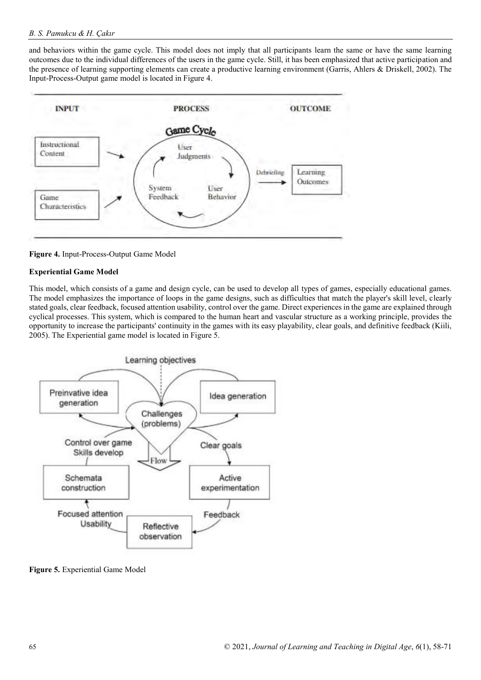and behaviors within the game cycle. This model does not imply that all participants learn the same or have the same learning outcomes due to the individual differences of the users in the game cycle. Still, it has been emphasized that active participation and the presence of learning supporting elements can create a productive learning environment (Garris, Ahlers & Driskell, 2002). The Input-Process-Output game model is located in Figure 4.



**Figure 4.** Input-Process-Output Game Model

## **Experiential Game Model**

This model, which consists of a game and design cycle, can be used to develop all types of games, especially educational games. The model emphasizes the importance of loops in the game designs, such as difficulties that match the player's skill level, clearly stated goals, clear feedback, focused attention usability, control over the game. Direct experiences in the game are explained through cyclical processes. This system, which is compared to the human heart and vascular structure as a working principle, provides the opportunity to increase the participants' continuity in the games with its easy playability, clear goals, and definitive feedback (Kiili, 2005). The Experiential game model is located in Figure 5.



**Figure 5.** Experiential Game Model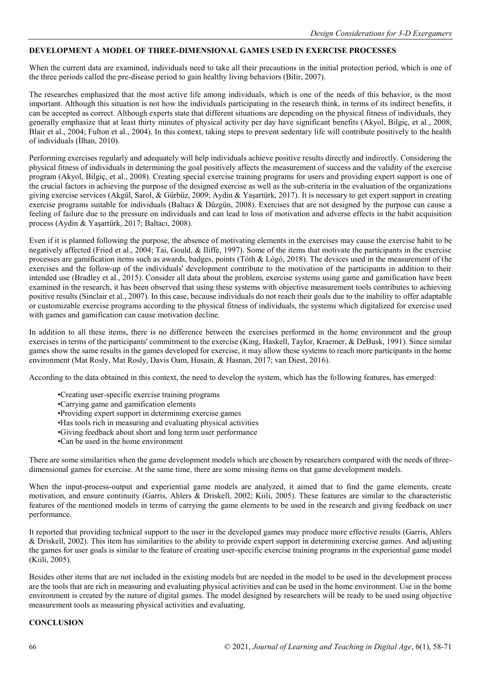### **DEVELOPMENT A MODEL OF THREE-DIMENSIONAL GAMES USED IN EXERCISE PROCESSES**

When the current data are examined, individuals need to take all their precautions in the initial protection period, which is one of the three periods called the pre-disease period to gain healthy living behaviors (Bilir, 2007).

The researches emphasized that the most active life among individuals, which is one of the needs of this behavior, is the most important. Although this situation is not how the individuals participating in the research think, in terms of its indirect benefits, it can be accepted as correct. Although experts state that different situations are depending on the physical fitness of individuals, they generally emphasize that at least thirty minutes of physical activity per day have significant benefits (Akyol, Bilgiç, et al., 2008; Blair et al., 2004; Fulton et al., 2004). In this context, taking steps to prevent sedentary life will contribute positively to the health of individuals (İlhan, 2010).

Performing exercises regularly and adequately will help individuals achieve positive results directly and indirectly. Considering the physical fitness of individuals in determining the goal positively affects the measurement of success and the validity of the exercise program (Akyol, Bilgiç, et al., 2008). Creating special exercise training programs for users and providing expert support is one of the crucial factors in achieving the purpose of the designed exercise as well as the sub-criteria in the evaluation of the organizations giving exercise services (Akgül, Sarol, & Gürbüz, 2009; Aydin & Yaşartürk, 2017). It is necessary to get expert support in creating exercise programs suitable for individuals (Baltacı & Düzgün, 2008). Exercises that are not designed by the purpose can cause a feeling of failure due to the pressure on individuals and can lead to loss of motivation and adverse effects in the habit acquisition process (Aydin & Yaşartürk, 2017; Baltacı, 2008).

Even if it is planned following the purpose, the absence of motivating elements in the exercises may cause the exercise habit to be negatively affected (Fried et al., 2004; Tai, Gould, & Iliffe, 1997). Some of the items that motivate the participants in the exercise processes are gamification items such as awards, badges, points (Tóth & Lógó, 2018). The devices used in the measurement of the exercises and the follow-up of the individuals' development contribute to the motivation of the participants in addition to their intended use (Bradley et al., 2015). Consider all data about the problem, exercise systems using game and gamification have been examined in the research, it has been observed that using these systems with objective measurement tools contributes to achieving positive results (Sinclair et al., 2007). In this case, because individuals do not reach their goals due to the inability to offer adaptable or customizable exercise programs according to the physical fitness of individuals, the systems which digitalized for exercise used with games and gamification can cause motivation decline.

In addition to all these items, there is no difference between the exercises performed in the home environment and the group exercises in terms of the participants' commitment to the exercise (King, Haskell, Taylor, Kraemer, & DeBusk, 1991). Since similar games show the same results in the games developed for exercise, it may allow these systems to reach more participants in the home environment (Mat Rosly, Mat Rosly, Davis Oam, Husain, & Hasnan, 2017; van Diest, 2016).

According to the data obtained in this context, the need to develop the system, which has the following features, has emerged:

- •Creating user-specific exercise training programs
- •Carrying game and gamification elements
- •Providing expert support in determining exercise games
- •Has tools rich in measuring and evaluating physical activities
- •Giving feedback about short and long term user performance
- •Can be used in the home environment

There are some similarities when the game development models which are chosen by researchers compared with the needs of threedimensional games for exercise. At the same time, there are some missing items on that game development models.

When the input-process-output and experiential game models are analyzed, it aimed that to find the game elements, create motivation, and ensure continuity (Garris, Ahlers & Driskell, 2002; Kiili, 2005). These features are similar to the characteristic features of the mentioned models in terms of carrying the game elements to be used in the research and giving feedback on user performance.

It reported that providing technical support to the user in the developed games may produce more effective results (Garris, Ahlers & Driskell, 2002). This item has similarities to the ability to provide expert support in determining exercise games. And adjusting the games for user goals is similar to the feature of creating user-specific exercise training programs in the experiential game model (Kiili, 2005).

Besides other items that are not included in the existing models but are needed in the model to be used in the development process are the tools that are rich in measuring and evaluating physical activities and can be used in the home environment. Use in the home environment is created by the nature of digital games. The model designed by researchers will be ready to be used using objective measurement tools as measuring physical activities and evaluating.

### **CONCLUSION**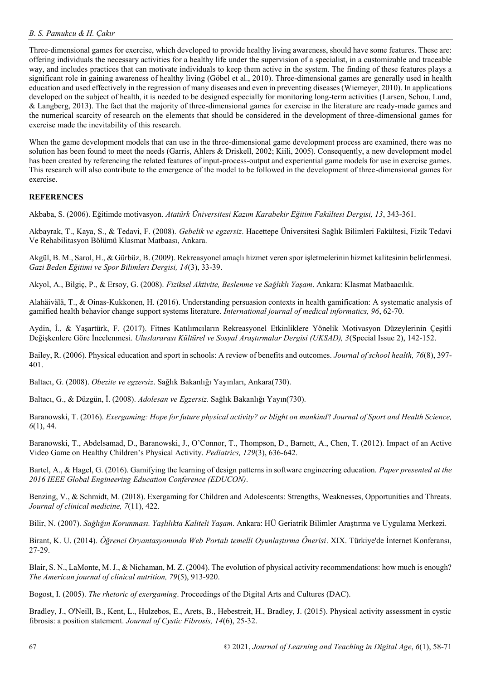Three-dimensional games for exercise, which developed to provide healthy living awareness, should have some features. These are: offering individuals the necessary activities for a healthy life under the supervision of a specialist, in a customizable and traceable way, and includes practices that can motivate individuals to keep them active in the system. The finding of these features plays a significant role in gaining awareness of healthy living (Göbel et al., 2010). Three-dimensional games are generally used in health education and used effectively in the regression of many diseases and even in preventing diseases (Wiemeyer, 2010). In applications developed on the subject of health, it is needed to be designed especially for monitoring long-term activities (Larsen, Schou, Lund, & Langberg, 2013). The fact that the majority of three-dimensional games for exercise in the literature are ready-made games and the numerical scarcity of research on the elements that should be considered in the development of three-dimensional games for exercise made the inevitability of this research.

When the game development models that can use in the three-dimensional game development process are examined, there was no solution has been found to meet the needs (Garris, Ahlers & Driskell, 2002; Kiili, 2005). Consequently, a new development model has been created by referencing the related features of input-process-output and experiential game models for use in exercise games. This research will also contribute to the emergence of the model to be followed in the development of three-dimensional games for exercise.

# **REFERENCES**

Akbaba, S. (2006). Eğitimde motivasyon. *Atatürk Üniversitesi Kazım Karabekir Eğitim Fakültesi Dergisi, 13*, 343-361.

Akbayrak, T., Kaya, S., & Tedavi, F. (2008). *Gebelik ve egzersiz*. Hacettepe Üniversitesi Sağlık Bilimleri Fakültesi, Fizik Tedavi Ve Rehabilitasyon Bölümü Klasmat Matbaası, Ankara.

Akgül, B. M., Sarol, H., & Gürbüz, B. (2009). Rekreasyonel amaçlı hizmet veren spor işletmelerinin hizmet kalitesinin belirlenmesi. *Gazi Beden Eğitimi ve Spor Bilimleri Dergisi, 14*(3), 33-39.

Akyol, A., Bilgiç, P., & Ersoy, G. (2008). *Fiziksel Aktivite, Beslenme ve Sağlıklı Yaşam*. Ankara: Klasmat Matbaacılık.

Alahäivälä, T., & Oinas-Kukkonen, H. (2016). Understanding persuasion contexts in health gamification: A systematic analysis of gamified health behavior change support systems literature. *International journal of medical informatics, 96*, 62-70.

Aydin, İ., & Yaşartürk, F. (2017). Fitnes Katılımcıların Rekreasyonel Etkinliklere Yönelik Motivasyon Düzeylerinin Çeşitli Değişkenlere Göre İncelenmesi. *Uluslararası Kültürel ve Sosyal Araştırmalar Dergisi (UKSAD), 3*(Special Issue 2), 142-152.

Bailey, R. (2006). Physical education and sport in schools: A review of benefits and outcomes. *Journal of school health, 76*(8), 397- 401.

Baltacı, G. (2008). *Obezite ve egzersiz*. Sağlık Bakanlığı Yayınları, Ankara(730).

Baltacı, G., & Düzgün, İ. (2008). *Adolesan ve Egzersiz.* Sağlık Bakanlığı Yayın(730).

Baranowski, T. (2016). *Exergaming: Hope for future physical activity? or blight on mankind*? *Journal of Sport and Health Science, 6*(1), 44.

Baranowski, T., Abdelsamad, D., Baranowski, J., O'Connor, T., Thompson, D., Barnett, A., Chen, T. (2012). Impact of an Active Video Game on Healthy Children's Physical Activity. *Pediatrics, 129*(3), 636-642.

Bartel, A., & Hagel, G. (2016). Gamifying the learning of design patterns in software engineering education. *Paper presented at the 2016 IEEE Global Engineering Education Conference (EDUCON)*.

Benzing, V., & Schmidt, M. (2018). Exergaming for Children and Adolescents: Strengths, Weaknesses, Opportunities and Threats. *Journal of clinical medicine, 7*(11), 422.

Bilir, N. (2007). *Sağlığın Korunması. Yaşlılıkta Kaliteli Yaşam*. Ankara: HÜ Geriatrik Bilimler Araştırma ve Uygulama Merkezi.

Birant, K. U. (2014). *Öğrenci Oryantasyonunda Web Portalı temelli Oyunlaştırma Önerisi*. XIX. Türkiye'de İnternet Konferansı, 27-29.

Blair, S. N., LaMonte, M. J., & Nichaman, M. Z. (2004). The evolution of physical activity recommendations: how much is enough? *The American journal of clinical nutrition, 79*(5), 913-920.

Bogost, I. (2005). *The rhetoric of exergaming*. Proceedings of the Digital Arts and Cultures (DAC).

Bradley, J., O'Neill, B., Kent, L., Hulzebos, E., Arets, B., Hebestreit, H., Bradley, J. (2015). Physical activity assessment in cystic fibrosis: a position statement. *Journal of Cystic Fibrosis, 14*(6), 25-32.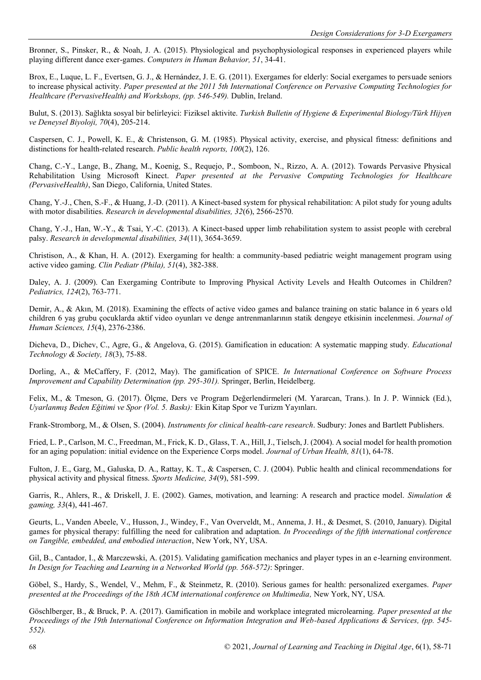Bronner, S., Pinsker, R., & Noah, J. A. (2015). Physiological and psychophysiological responses in experienced players while playing different dance exer-games. *Computers in Human Behavior, 51*, 34-41.

Brox, E., Luque, L. F., Evertsen, G. J., & Hernández, J. E. G. (2011). Exergames for elderly: Social exergames to persuade seniors to increase physical activity. *Paper presented at the 2011 5th International Conference on Pervasive Computing Technologies for Healthcare (PervasiveHealth) and Workshops, (pp. 546-549).* Dublin, Ireland.

Bulut, S. (2013). Sağlıkta sosyal bir belirleyici: Fiziksel aktivite. *Turkish Bulletin of Hygiene & Experimental Biology/Türk Hijyen ve Deneysel Biyoloji, 70*(4), 205-214.

Caspersen, C. J., Powell, K. E., & Christenson, G. M. (1985). Physical activity, exercise, and physical fitness: definitions and distinctions for health-related research. *Public health reports, 100*(2), 126.

Chang, C.-Y., Lange, B., Zhang, M., Koenig, S., Requejo, P., Somboon, N., Rizzo, A. A. (2012). Towards Pervasive Physical Rehabilitation Using Microsoft Kinect. *Paper presented at the Pervasive Computing Technologies for Healthcare (PervasiveHealth)*, San Diego, California, United States.

Chang, Y.-J., Chen, S.-F., & Huang, J.-D. (2011). A Kinect-based system for physical rehabilitation: A pilot study for young adults with motor disabilities. *Research in developmental disabilities, 32*(6), 2566-2570.

Chang, Y.-J., Han, W.-Y., & Tsai, Y.-C. (2013). A Kinect-based upper limb rehabilitation system to assist people with cerebral palsy. *Research in developmental disabilities, 34*(11), 3654-3659.

Christison, A., & Khan, H. A. (2012). Exergaming for health: a community-based pediatric weight management program using active video gaming. *Clin Pediatr (Phila), 51*(4), 382-388.

Daley, A. J. (2009). Can Exergaming Contribute to Improving Physical Activity Levels and Health Outcomes in Children? *Pediatrics, 124*(2), 763-771.

Demir, A., & Akın, M. (2018). Examining the effects of active video games and balance training on static balance in 6 years old children 6 yaş grubu çocuklarda aktif video oyunları ve denge antrenmanlarının statik dengeye etkisinin incelenmesi. *Journal of Human Sciences, 15*(4), 2376-2386.

Dicheva, D., Dichev, C., Agre, G., & Angelova, G. (2015). Gamification in education: A systematic mapping study. *Educational Technology & Society, 18*(3), 75-88.

Dorling, A., & McCaffery, F. (2012, May). The gamification of SPICE. *In International Conference on Software Process Improvement and Capability Determination (pp. 295-301).* Springer, Berlin, Heidelberg.

Felix, M., & Tmeson, G. (2017). Ölçme, Ders ve Program Değerlendirmeleri (M. Yararcan, Trans.). In J. P. Winnick (Ed.), *Uyarlanmış Beden Eğitimi ve Spor (Vol. 5. Baskı):* Ekin Kitap Spor ve Turizm Yayınları.

Frank-Stromborg, M., & Olsen, S. (2004). *Instruments for clinical health-care research*. Sudbury: Jones and Bartlett Publishers.

Fried, L. P., Carlson, M. C., Freedman, M., Frick, K. D., Glass, T. A., Hill, J., Tielsch, J. (2004). A social model for health promotion for an aging population: initial evidence on the Experience Corps model. *Journal of Urban Health, 81*(1), 64-78.

Fulton, J. E., Garg, M., Galuska, D. A., Rattay, K. T., & Caspersen, C. J. (2004). Public health and clinical recommendations for physical activity and physical fitness. *Sports Medicine, 34*(9), 581-599.

Garris, R., Ahlers, R., & Driskell, J. E. (2002). Games, motivation, and learning: A research and practice model. *Simulation & gaming, 33*(4), 441-467.

Geurts, L., Vanden Abeele, V., Husson, J., Windey, F., Van Overveldt, M., Annema, J. H., & Desmet, S. (2010, January). Digital games for physical therapy: fulfilling the need for calibration and adaptation. *In Proceedings of the fifth international conference on Tangible, embedded, and embodied interaction*, New York, NY, USA.

Gil, B., Cantador, I., & Marczewski, A. (2015). Validating gamification mechanics and player types in an e-learning environment. *In Design for Teaching and Learning in a Networked World (pp. 568-572)*: Springer.

Göbel, S., Hardy, S., Wendel, V., Mehm, F., & Steinmetz, R. (2010). Serious games for health: personalized exergames. *Paper presented at the Proceedings of the 18th ACM international conference on Multimedia, New York, NY, USA.* 

Göschlberger, B., & Bruck, P. A. (2017). Gamification in mobile and workplace integrated microlearning. *Paper presented at the Proceedings of the 19th International Conference on Information Integration and Web-based Applications & Services, (pp. 545- 552).*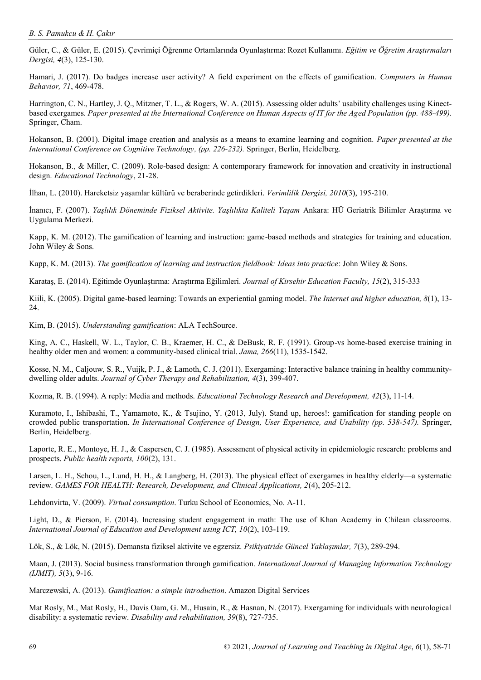Güler, C., & Güler, E. (2015). Çevrimiçi Öğrenme Ortamlarında Oyunlaştırma: Rozet Kullanımı. *Eğitim ve Öğretim Araştırmaları Dergisi, 4*(3), 125-130.

Hamari, J. (2017). Do badges increase user activity? A field experiment on the effects of gamification. *Computers in Human Behavior, 71*, 469-478.

Harrington, C. N., Hartley, J. Q., Mitzner, T. L., & Rogers, W. A. (2015). Assessing older adults' usability challenges using Kinectbased exergames. Paper presented at the International Conference on Human Aspects of IT for the Aged Population (pp. 488-499). Springer, Cham.

Hokanson, B. (2001). Digital image creation and analysis as a means to examine learning and cognition. *Paper presented at the International Conference on Cognitive Technology, (pp. 226-232).* Springer, Berlin, Heidelberg*.* 

Hokanson, B., & Miller, C. (2009). Role-based design: A contemporary framework for innovation and creativity in instructional design. *Educational Technology*, 21-28.

İlhan, L. (2010). Hareketsiz yaşamlar kültürü ve beraberinde getirdikleri. *Verimlilik Dergisi, 2010*(3), 195-210.

İnanıcı, F. (2007). *Yaşlılık Döneminde Fiziksel Aktivite. Yaşlılıkta Kaliteli Yaşam* Ankara: HÜ Geriatrik Bilimler Araştırma ve Uygulama Merkezi.

Kapp, K. M. (2012). The gamification of learning and instruction: game-based methods and strategies for training and education. John Wiley & Sons.

Kapp, K. M. (2013). *The gamification of learning and instruction fieldbook: Ideas into practice*: John Wiley & Sons.

Karataş, E. (2014). Eğitimde Oyunlaştırma: Araştırma Eğilimleri. *Journal of Kirsehir Education Faculty, 15*(2), 315-333

Kiili, K. (2005). Digital game-based learning: Towards an experiential gaming model. *The Internet and higher education, 8*(1), 13- 24.

Kim, B. (2015). *Understanding gamification*: ALA TechSource.

King, A. C., Haskell, W. L., Taylor, C. B., Kraemer, H. C., & DeBusk, R. F. (1991). Group-vs home-based exercise training in healthy older men and women: a community-based clinical trial. *Jama, 266*(11), 1535-1542.

Kosse, N. M., Caljouw, S. R., Vuijk, P. J., & Lamoth, C. J. (2011). Exergaming: Interactive balance training in healthy communitydwelling older adults. *Journal of Cyber Therapy and Rehabilitation, 4*(3), 399-407.

Kozma, R. B. (1994). A reply: Media and methods. *Educational Technology Research and Development, 42*(3), 11-14.

Kuramoto, I., Ishibashi, T., Yamamoto, K., & Tsujino, Y. (2013, July). Stand up, heroes!: gamification for standing people on crowded public transportation. *In International Conference of Design, User Experience, and Usability (pp. 538-547).* Springer, Berlin, Heidelberg.

Laporte, R. E., Montoye, H. J., & Caspersen, C. J. (1985). Assessment of physical activity in epidemiologic research: problems and prospects. *Public health reports, 100*(2), 131.

Larsen, L. H., Schou, L., Lund, H. H., & Langberg, H. (2013). The physical effect of exergames in healthy elderly—a systematic review. *GAMES FOR HEALTH: Research, Development, and Clinical Applications, 2*(4), 205-212.

Lehdonvirta, V. (2009). *Virtual consumption*. Turku School of Economics, No. A-11.

Light, D., & Pierson, E. (2014). Increasing student engagement in math: The use of Khan Academy in Chilean classrooms. *International Journal of Education and Development using ICT, 10*(2), 103-119.

Lök, S., & Lök, N. (2015). Demansta fiziksel aktivite ve egzersiz. *Psikiyatride Güncel Yaklaşımlar, 7*(3), 289-294.

Maan, J. (2013). Social business transformation through gamification. *International Journal of Managing Information Technology (IJMIT), 5*(3), 9-16.

Marczewski, A. (2013). *Gamification: a simple introduction*. Amazon Digital Services

Mat Rosly, M., Mat Rosly, H., Davis Oam, G. M., Husain, R., & Hasnan, N. (2017). Exergaming for individuals with neurological disability: a systematic review. *Disability and rehabilitation, 39*(8), 727-735.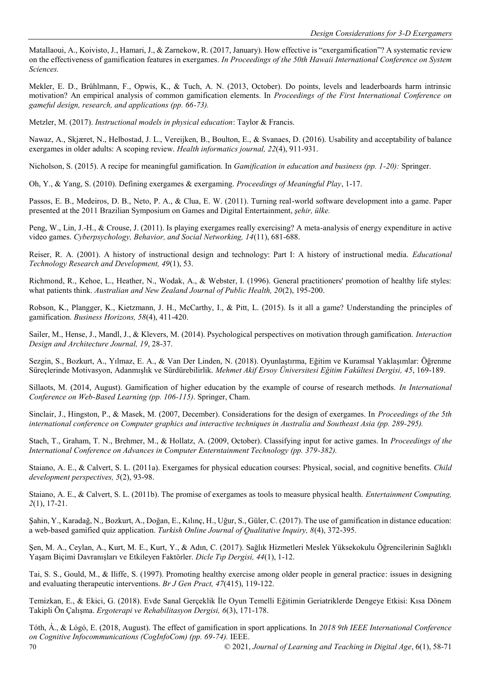Matallaoui, A., Koivisto, J., Hamari, J., & Zarnekow, R. (2017, January). How effective is "exergamification"? A systematic review on the effectiveness of gamification features in exergames. *In Proceedings of the 50th Hawaii International Conference on System Sciences.* 

Mekler, E. D., Brühlmann, F., Opwis, K., & Tuch, A. N. (2013, October). Do points, levels and leaderboards harm intrinsic motivation? An empirical analysis of common gamification elements. In *Proceedings of the First International Conference on gameful design, research, and applications (pp. 66-73).* 

Metzler, M. (2017). *Instructional models in physical education*: Taylor & Francis.

Nawaz, A., Skjæret, N., Helbostad, J. L., Vereijken, B., Boulton, E., & Svanaes, D. (2016). Usability and acceptability of balance exergames in older adults: A scoping review. *Health informatics journal, 22*(4), 911-931.

Nicholson, S. (2015). A recipe for meaningful gamification. In *Gamification in education and business (pp. 1-20):* Springer.

Oh, Y., & Yang, S. (2010). Defining exergames & exergaming. *Proceedings of Meaningful Play*, 1-17.

Passos, E. B., Medeiros, D. B., Neto, P. A., & Clua, E. W. (2011). Turning real-world software development into a game. Paper presented at the 2011 Brazilian Symposium on Games and Digital Entertainment, *şehir, ülke.* 

Peng, W., Lin, J.-H., & Crouse, J. (2011). Is playing exergames really exercising? A meta-analysis of energy expenditure in active video games. *Cyberpsychology, Behavior, and Social Networking, 14*(11), 681-688.

Reiser, R. A. (2001). A history of instructional design and technology: Part I: A history of instructional media. *Educational Technology Research and Development, 49*(1), 53.

Richmond, R., Kehoe, L., Heather, N., Wodak, A., & Webster, I. (1996). General practitioners' promotion of healthy life styles: what patients think. *Australian and New Zealand Journal of Public Health, 20*(2), 195-200.

Robson, K., Plangger, K., Kietzmann, J. H., McCarthy, I., & Pitt, L. (2015). Is it all a game? Understanding the principles of gamification. *Business Horizons, 58*(4), 411-420.

Sailer, M., Hense, J., Mandl, J., & Klevers, M. (2014). Psychological perspectives on motivation through gamification. *Interaction Design and Architecture Journal, 19*, 28-37.

Sezgin, S., Bozkurt, A., Yılmaz, E. A., & Van Der Linden, N. (2018). Oyunlaştırma, Eğitim ve Kuramsal Yaklaşımlar: Öğrenme Süreçlerinde Motivasyon, Adanmışlık ve Sürdürebilirlik. *Mehmet Akif Ersoy Üniversitesi Eğitim Fakültesi Dergisi, 45*, 169-189.

Sillaots, M. (2014, August). Gamification of higher education by the example of course of research methods. *In International Conference on Web-Based Learning (pp. 106-115)*. Springer, Cham.

Sinclair, J., Hingston, P., & Masek, M. (2007, December). Considerations for the design of exergames. In *Proceedings of the 5th international conference on Computer graphics and interactive techniques in Australia and Southeast Asia (pp. 289-295).* 

Stach, T., Graham, T. N., Brehmer, M., & Hollatz, A. (2009, October). Classifying input for active games. In *Proceedings of the International Conference on Advances in Computer Enterntainment Technology (pp. 379-382).* 

Staiano, A. E., & Calvert, S. L. (2011a). Exergames for physical education courses: Physical, social, and cognitive benefits. *Child development perspectives, 5*(2), 93-98.

Staiano, A. E., & Calvert, S. L. (2011b). The promise of exergames as tools to measure physical health. *Entertainment Computing, 2*(1), 17-21.

Şahin, Y., Karadağ, N., Bozkurt, A., Doğan, E., Kılınç, H., Uğur, S., Güler, C. (2017). The use of gamification in distance education: a web-based gamified quiz application. *Turkish Online Journal of Qualitative Inquiry, 8*(4), 372-395.

Şen, M. A., Ceylan, A., Kurt, M. E., Kurt, Y., & Adın, C. (2017). Sağlık Hizmetleri Meslek Yüksekokulu Öğrencilerinin Sağlıklı Yaşam Biçimi Davranışları ve Etkileyen Faktörler. *Dicle Tıp Dergisi, 44*(1), 1-12.

Tai, S. S., Gould, M., & Iliffe, S. (1997). Promoting healthy exercise among older people in general practice: issues in designing and evaluating therapeutic interventions. *Br J Gen Pract, 47*(415), 119-122.

Temizkan, E., & Ekici, G. (2018). Evde Sanal Gerçeklik İle Oyun Temelli Eğitimin Geriatriklerde Dengeye Etkisi: Kısa Dönem Takipli Ön Çalışma. *Ergoterapi ve Rehabilitasyon Dergisi, 6*(3), 171-178.

70 © 2021, *Journal of Learning and Teaching in Digital Age*, 6(1), 58-71 Tóth, Á., & Lógó, E. (2018, August). The effect of gamification in sport applications. In *2018 9th IEEE International Conference on Cognitive Infocommunications (CogInfoCom) (pp. 69-74).* IEEE.